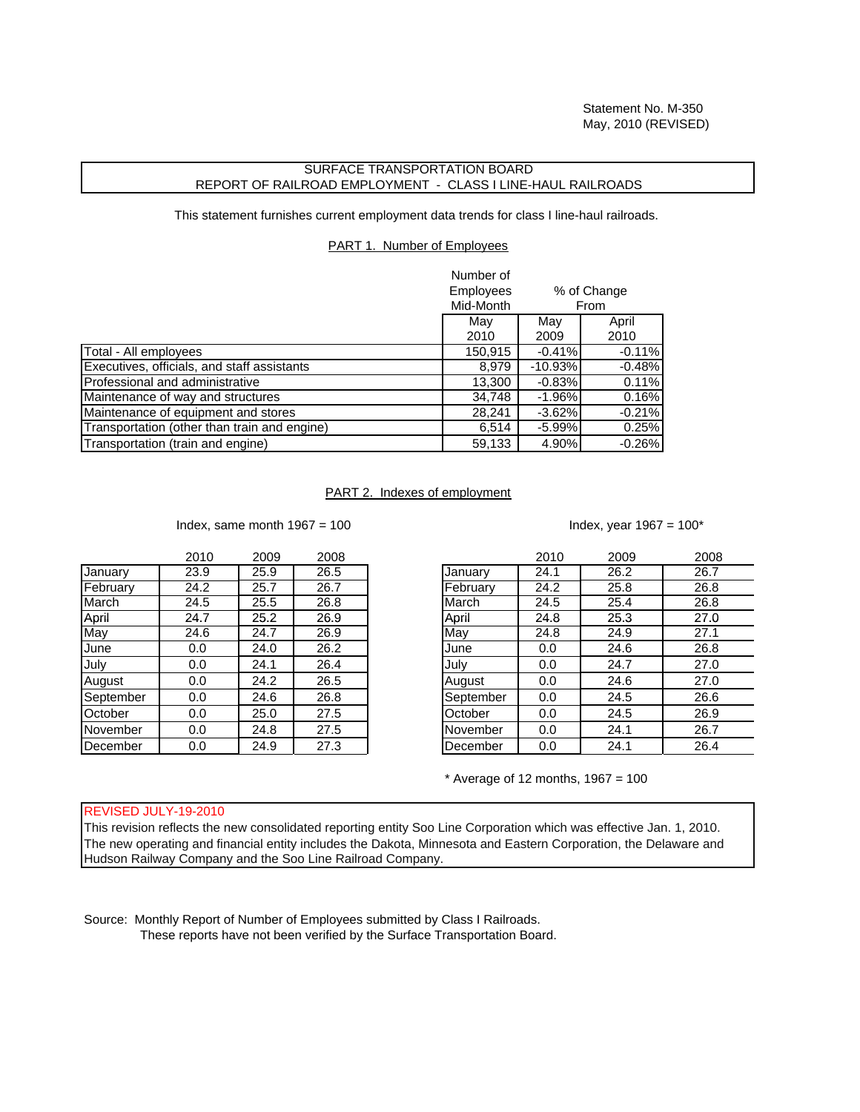## SURFACE TRANSPORTATION BOARD REPORT OF RAILROAD EMPLOYMENT - CLASS I LINE-HAUL RAILROADS

This statement furnishes current employment data trends for class I line-haul railroads.

PART 1. Number of Employees

|                                              | Number of<br><b>Employees</b><br>% of Change<br>Mid-Month<br>From |             |               |
|----------------------------------------------|-------------------------------------------------------------------|-------------|---------------|
|                                              | May<br>2010                                                       | May<br>2009 | April<br>2010 |
| Total - All employees                        | 150,915                                                           | $-0.41%$    | $-0.11%$      |
| Executives, officials, and staff assistants  | 8,979                                                             | $-10.93%$   | $-0.48%$      |
| Professional and administrative              | 13,300                                                            | $-0.83%$    | 0.11%         |
| Maintenance of way and structures            | 34,748                                                            | $-1.96%$    | 0.16%         |
| Maintenance of equipment and stores          | 28,241                                                            | $-3.62%$    | $-0.21%$      |
| Transportation (other than train and engine) | 6,514                                                             | $-5.99%$    | 0.25%         |
| Transportation (train and engine)            | 59,133                                                            | 4.90%       | $-0.26%$      |

## PART 2. Indexes of employment

Index, same month  $1967 = 100$  Index, year  $1967 = 100^*$ 

| 2010 | 2009 | 2008 |           | 2010 | 2009 | 2008 |
|------|------|------|-----------|------|------|------|
| 23.9 | 25.9 | 26.5 | January   | 24.1 | 26.2 | 26.7 |
| 24.2 | 25.7 | 26.7 | February  | 24.2 | 25.8 | 26.8 |
| 24.5 | 25.5 | 26.8 | March     | 24.5 | 25.4 | 26.8 |
| 24.7 | 25.2 | 26.9 | April     | 24.8 | 25.3 | 27.0 |
| 24.6 | 24.7 | 26.9 | May       | 24.8 | 24.9 | 27.1 |
| 0.0  | 24.0 | 26.2 | June      | 0.0  | 24.6 | 26.8 |
| 0.0  | 24.1 | 26.4 | July      | 0.0  | 24.7 | 27.0 |
| 0.0  | 24.2 | 26.5 | August    | 0.0  | 24.6 | 27.0 |
| 0.0  | 24.6 | 26.8 | September | 0.0  | 24.5 | 26.6 |
| 0.0  | 25.0 | 27.5 | October   | 0.0  | 24.5 | 26.9 |
| 0.0  | 24.8 | 27.5 | November  | 0.0  | 24.1 | 26.7 |
| 0.0  | 24.9 | 27.3 | December  | 0.0  | 24.1 | 26.4 |
|      |      |      |           |      |      |      |

| 2010              | 2009 | 2008 |           | 2010 | 2009 | 2008 |
|-------------------|------|------|-----------|------|------|------|
| 23.9              | 25.9 | 26.5 | January   | 24.1 | 26.2 | 26.7 |
| 24.2              | 25.7 | 26.7 | February  | 24.2 | 25.8 | 26.8 |
| $\overline{24.5}$ | 25.5 | 26.8 | March     | 24.5 | 25.4 | 26.8 |
| 24.7              | 25.2 | 26.9 | April     | 24.8 | 25.3 | 27.0 |
| 24.6              | 24.7 | 26.9 | May       | 24.8 | 24.9 | 27.1 |
| 0.0               | 24.0 | 26.2 | June      | 0.0  | 24.6 | 26.8 |
| 0.0               | 24.1 | 26.4 | July      | 0.0  | 24.7 | 27.0 |
| 0.0               | 24.2 | 26.5 | August    | 0.0  | 24.6 | 27.0 |
| 0.0               | 24.6 | 26.8 | September | 0.0  | 24.5 | 26.6 |
| 0.0               | 25.0 | 27.5 | October   | 0.0  | 24.5 | 26.9 |
| 0.0               | 24.8 | 27.5 | November  | 0.0  | 24.1 | 26.7 |
| 0.0               | 24.9 | 27.3 | December  | 0.0  | 24.1 | 26.4 |

 $*$  Average of 12 months, 1967 = 100

## REVISED JULY-19-2010

This revision reflects the new consolidated reporting entity Soo Line Corporation which was effective Jan. 1, 2010. The new operating and financial entity includes the Dakota, Minnesota and Eastern Corporation, the Delaware and Hudson Railway Company and the Soo Line Railroad Company.

Source: Monthly Report of Number of Employees submitted by Class I Railroads. These reports have not been verified by the Surface Transportation Board.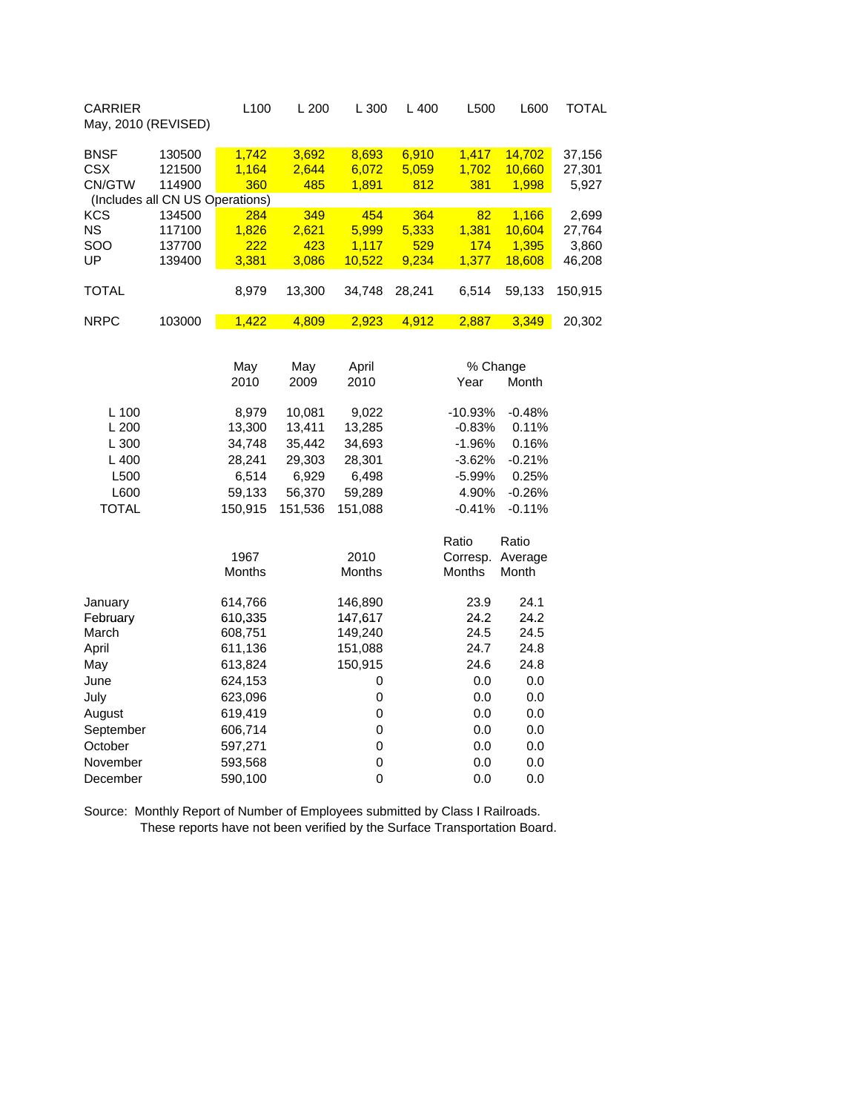| <b>CARRIER</b><br>May, 2010 (REVISED)         |                            | L100                  | L200                  | L 300                   | L400                  | L500                  | L600                      | <b>TOTAL</b>              |
|-----------------------------------------------|----------------------------|-----------------------|-----------------------|-------------------------|-----------------------|-----------------------|---------------------------|---------------------------|
| <b>BNSF</b><br><b>CSX</b><br>CN/GTW           | 130500<br>121500<br>114900 | 1,742<br>1,164<br>360 | 3,692<br>2,644<br>485 | 8,693<br>6,072<br>1,891 | 6,910<br>5,059<br>812 | 1,417<br>1,702<br>381 | 14,702<br>10,660<br>1,998 | 37,156<br>27,301<br>5,927 |
| (Includes all CN US Operations)<br><b>KCS</b> | 134500                     | 284                   | 349                   | 454                     | 364                   | 82                    | 1,166                     | 2,699                     |
| <b>NS</b>                                     | 117100                     | 1,826                 | 2,621                 | 5,999                   | 5,333                 | 1,381                 | 10,604                    | 27,764                    |
| SOO                                           | 137700                     | 222                   | 423                   | 1,117                   | 529                   | 174                   | 1,395                     | 3,860                     |
| UP                                            | 139400                     | 3,381                 | 3,086                 | 10,522                  | 9,234                 | 1,377                 | 18,608                    | 46,208                    |
| <b>TOTAL</b>                                  |                            | 8,979                 | 13,300                | 34,748                  | 28,241                | 6,514                 | 59,133                    | 150,915                   |
| <b>NRPC</b>                                   | 103000                     | 1,422                 | 4,809                 | 2,923                   | 4,912                 | 2,887                 | 3,349                     | 20,302                    |
|                                               |                            |                       |                       |                         |                       |                       |                           |                           |
|                                               |                            | May                   | May                   | April                   |                       | % Change              |                           |                           |
|                                               |                            | 2010                  | 2009                  | 2010                    |                       | Year                  | Month                     |                           |
|                                               |                            |                       |                       |                         |                       |                       |                           |                           |
| $L$ 100                                       |                            | 8,979                 | 10,081                | 9,022                   |                       | $-10.93%$             | $-0.48%$                  |                           |
| L 200                                         |                            | 13,300                | 13,411                | 13,285                  |                       | $-0.83%$              | 0.11%                     |                           |
| L 300                                         |                            | 34,748                | 35,442                | 34,693                  |                       | $-1.96%$              | 0.16%                     |                           |
| L400                                          |                            | 28,241                | 29,303                | 28,301                  |                       | $-3.62%$              | $-0.21%$                  |                           |
| L500                                          |                            | 6,514                 | 6,929                 | 6,498                   |                       | $-5.99%$              | 0.25%                     |                           |
| L600                                          |                            | 59,133                | 56,370                | 59,289                  |                       | 4.90%                 | $-0.26%$                  |                           |
| <b>TOTAL</b>                                  |                            | 150,915               | 151,536               | 151,088                 |                       | $-0.41%$              | $-0.11%$                  |                           |
|                                               |                            |                       |                       |                         |                       | Ratio                 | Ratio                     |                           |
|                                               |                            | 1967                  |                       | 2010                    |                       | Corresp.              | Average                   |                           |
|                                               |                            | Months                |                       | Months                  |                       | Months                | Month                     |                           |
| January                                       |                            | 614,766               |                       | 146,890                 |                       | 23.9                  | 24.1                      |                           |
| February                                      |                            | 610,335               |                       | 147,617                 |                       | 24.2                  | 24.2                      |                           |
| March                                         |                            | 608,751               |                       | 149,240                 |                       | 24.5                  | 24.5                      |                           |
| April                                         |                            | 611,136               |                       | 151,088                 |                       | 24.7                  | 24.8                      |                           |
| May                                           |                            | 613,824               |                       | 150,915                 |                       | 24.6                  | 24.8                      |                           |
| June                                          |                            | 624,153               |                       | 0                       |                       | 0.0                   | 0.0                       |                           |
| July                                          |                            | 623,096               |                       | $\pmb{0}$               |                       | 0.0                   | 0.0                       |                           |
| August                                        |                            | 619,419               |                       | 0                       |                       | 0.0                   | 0.0                       |                           |
| September                                     |                            | 606,714               |                       | $\pmb{0}$               |                       | 0.0                   | 0.0                       |                           |
| October                                       |                            | 597,271               |                       | $\pmb{0}$               |                       | 0.0                   | 0.0                       |                           |
| November                                      |                            | 593,568               |                       | $\mathbf 0$             |                       | 0.0                   | 0.0                       |                           |
| December                                      |                            | 590,100               |                       | $\mathbf 0$             |                       | 0.0                   | 0.0                       |                           |

Source: Monthly Report of Number of Employees submitted by Class I Railroads. These reports have not been verified by the Surface Transportation Board.